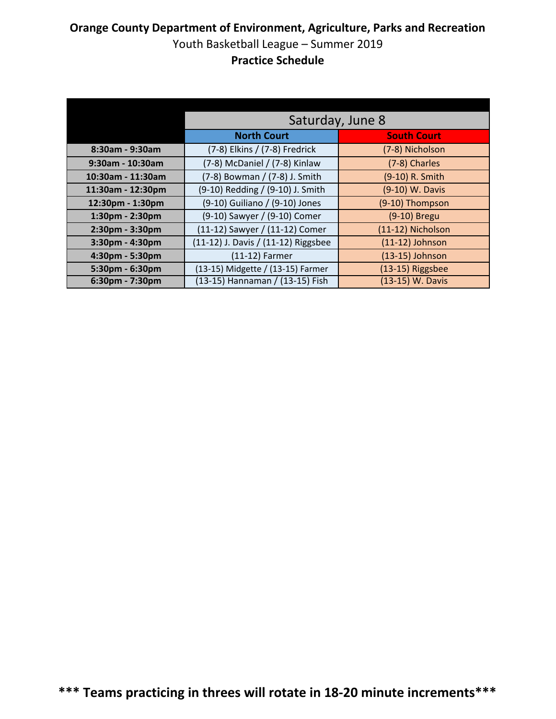|                   | Saturday, June 8                    |                    |
|-------------------|-------------------------------------|--------------------|
|                   | <b>North Court</b>                  | <b>South Court</b> |
| 8:30am - 9:30am   | (7-8) Elkins / (7-8) Fredrick       | (7-8) Nicholson    |
| 9:30am - 10:30am  | (7-8) McDaniel / (7-8) Kinlaw       | (7-8) Charles      |
| 10:30am - 11:30am | (7-8) Bowman / (7-8) J. Smith       | (9-10) R. Smith    |
| 11:30am - 12:30pm | (9-10) Redding / (9-10) J. Smith    | (9-10) W. Davis    |
| 12:30pm - 1:30pm  | (9-10) Guiliano / (9-10) Jones      | (9-10) Thompson    |
| 1:30pm - 2:30pm   | (9-10) Sawyer / (9-10) Comer        | (9-10) Bregu       |
| 2:30pm - 3:30pm   | (11-12) Sawyer / (11-12) Comer      | (11-12) Nicholson  |
| 3:30pm - 4:30pm   | (11-12) J. Davis / (11-12) Riggsbee | $(11-12)$ Johnson  |
| 4:30pm - 5:30pm   | (11-12) Farmer                      | (13-15) Johnson    |
| 5:30pm - 6:30pm   | (13-15) Midgette / (13-15) Farmer   | (13-15) Riggsbee   |
| 6:30pm - 7:30pm   | (13-15) Hannaman / (13-15) Fish     | (13-15) W. Davis   |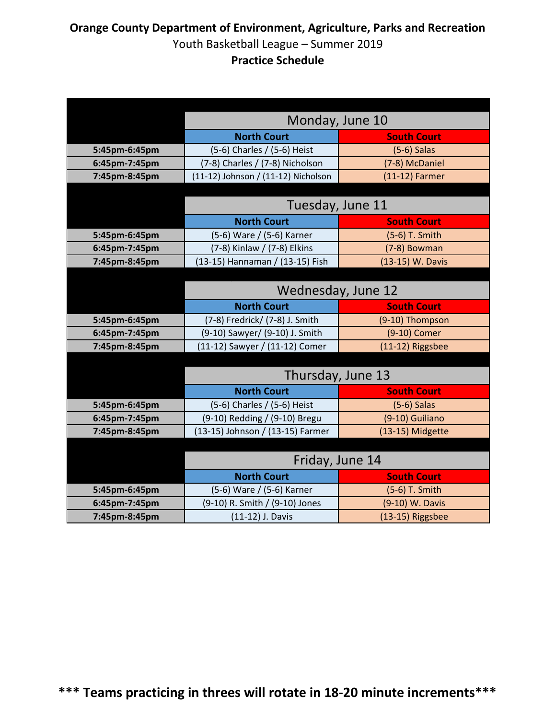|               | Monday, June 10                     |                    |
|---------------|-------------------------------------|--------------------|
|               | <b>North Court</b>                  | <b>South Court</b> |
| 5:45pm-6:45pm | (5-6) Charles / (5-6) Heist         | $(5-6)$ Salas      |
| 6:45pm-7:45pm | (7-8) Charles / (7-8) Nicholson     | (7-8) McDaniel     |
| 7:45pm-8:45pm | (11-12) Johnson / (11-12) Nicholson | $(11-12)$ Farmer   |
|               |                                     |                    |
|               | Tuesday, June 11                    |                    |
|               | <b>North Court</b>                  | <b>South Court</b> |
| 5:45pm-6:45pm | (5-6) Ware / (5-6) Karner           | (5-6) T. Smith     |
| 6:45pm-7:45pm | (7-8) Kinlaw / (7-8) Elkins         | (7-8) Bowman       |
| 7:45pm-8:45pm | (13-15) Hannaman / (13-15) Fish     | (13-15) W. Davis   |
|               |                                     |                    |
|               | Wednesday, June 12                  |                    |
|               | <b>North Court</b>                  | <b>South Court</b> |
| 5:45pm-6:45pm | (7-8) Fredrick/ (7-8) J. Smith      | (9-10) Thompson    |
| 6:45pm-7:45pm | (9-10) Sawyer/ (9-10) J. Smith      | (9-10) Comer       |
| 7:45pm-8:45pm | (11-12) Sawyer / (11-12) Comer      | (11-12) Riggsbee   |
|               |                                     |                    |
|               | Thursday, June 13                   |                    |
|               | <b>North Court</b>                  | <b>South Court</b> |
| 5:45pm-6:45pm | (5-6) Charles / (5-6) Heist         | $(5-6)$ Salas      |
| 6:45pm-7:45pm | (9-10) Redding / (9-10) Bregu       | (9-10) Guiliano    |
| 7:45pm-8:45pm | (13-15) Johnson / (13-15) Farmer    | (13-15) Midgette   |
|               |                                     |                    |
|               | Friday, June 14                     |                    |
|               | <b>North Court</b>                  | <b>South Court</b> |
| 5:45pm-6:45pm | (5-6) Ware / (5-6) Karner           | (5-6) T. Smith     |
| 6:45pm-7:45pm | (9-10) R. Smith / (9-10) Jones      | (9-10) W. Davis    |
| 7:45pm-8:45pm | (11-12) J. Davis                    | (13-15) Riggsbee   |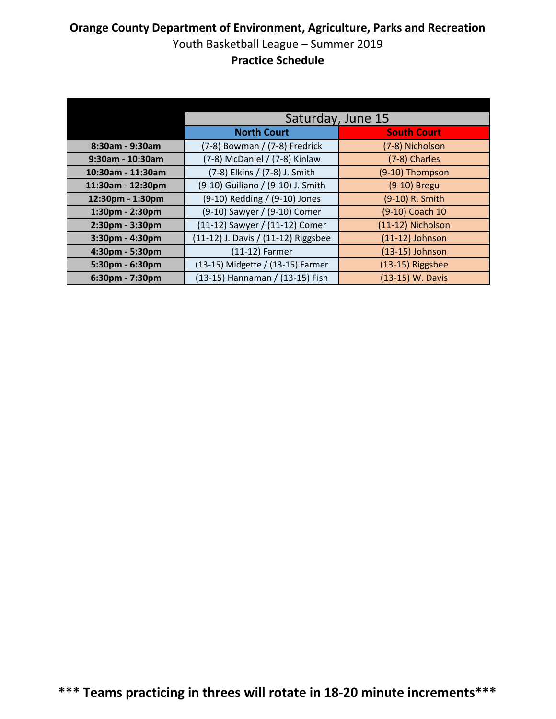|                   | Saturday, June 15                   |                    |
|-------------------|-------------------------------------|--------------------|
|                   | <b>North Court</b>                  | <b>South Court</b> |
| 8:30am - 9:30am   | (7-8) Bowman / (7-8) Fredrick       | (7-8) Nicholson    |
| 9:30am - 10:30am  | (7-8) McDaniel / (7-8) Kinlaw       | (7-8) Charles      |
| 10:30am - 11:30am | (7-8) Elkins / (7-8) J. Smith       | (9-10) Thompson    |
| 11:30am - 12:30pm | (9-10) Guiliano / (9-10) J. Smith   | (9-10) Bregu       |
| 12:30pm - 1:30pm  | (9-10) Redding / (9-10) Jones       | (9-10) R. Smith    |
| 1:30pm - 2:30pm   | (9-10) Sawyer / (9-10) Comer        | (9-10) Coach 10    |
| 2:30pm - 3:30pm   | (11-12) Sawyer / (11-12) Comer      | (11-12) Nicholson  |
| 3:30pm - 4:30pm   | (11-12) J. Davis / (11-12) Riggsbee | $(11-12)$ Johnson  |
| 4:30pm - 5:30pm   | (11-12) Farmer                      | (13-15) Johnson    |
| 5:30pm - 6:30pm   | (13-15) Midgette / (13-15) Farmer   | (13-15) Riggsbee   |
| 6:30pm - 7:30pm   | (13-15) Hannaman / (13-15) Fish     | (13-15) W. Davis   |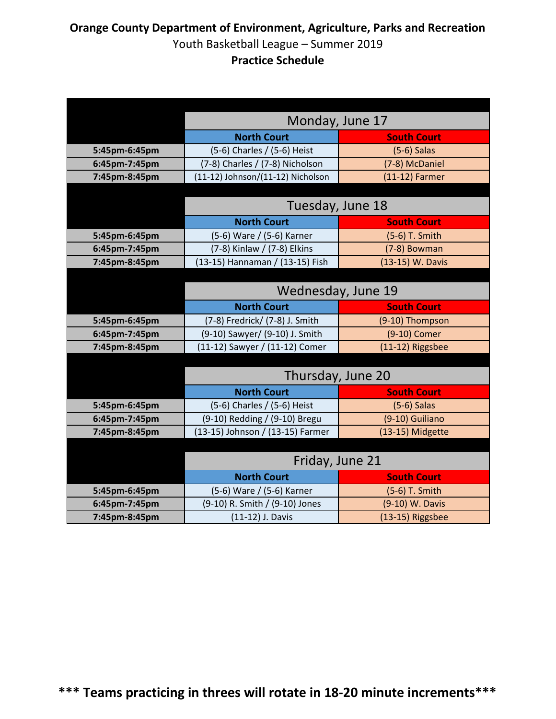|               | Monday, June 17                   |                    |
|---------------|-----------------------------------|--------------------|
|               | <b>North Court</b>                | <b>South Court</b> |
| 5:45pm-6:45pm | (5-6) Charles / (5-6) Heist       | $(5-6)$ Salas      |
| 6:45pm-7:45pm | (7-8) Charles / (7-8) Nicholson   | (7-8) McDaniel     |
| 7:45pm-8:45pm | (11-12) Johnson/(11-12) Nicholson | $(11-12)$ Farmer   |
|               |                                   |                    |
|               | Tuesday, June 18                  |                    |
|               | <b>North Court</b>                | <b>South Court</b> |
| 5:45pm-6:45pm | (5-6) Ware / (5-6) Karner         | (5-6) T. Smith     |
| 6:45pm-7:45pm | (7-8) Kinlaw / (7-8) Elkins       | (7-8) Bowman       |
| 7:45pm-8:45pm | (13-15) Hannaman / (13-15) Fish   | (13-15) W. Davis   |
|               |                                   |                    |
|               | Wednesday, June 19                |                    |
|               | <b>North Court</b>                | <b>South Court</b> |
| 5:45pm-6:45pm | (7-8) Fredrick/ (7-8) J. Smith    | (9-10) Thompson    |
| 6:45pm-7:45pm | (9-10) Sawyer/ (9-10) J. Smith    | (9-10) Comer       |
| 7:45pm-8:45pm | (11-12) Sawyer / (11-12) Comer    | (11-12) Riggsbee   |
|               |                                   |                    |
|               | Thursday, June 20                 |                    |
|               | <b>North Court</b>                | <b>South Court</b> |
| 5:45pm-6:45pm | (5-6) Charles / (5-6) Heist       | $(5-6)$ Salas      |
| 6:45pm-7:45pm | (9-10) Redding / (9-10) Bregu     | (9-10) Guiliano    |
| 7:45pm-8:45pm | (13-15) Johnson / (13-15) Farmer  | (13-15) Midgette   |
|               |                                   |                    |
|               | Friday, June 21                   |                    |
|               | <b>North Court</b>                | <b>South Court</b> |
| 5:45pm-6:45pm | (5-6) Ware / (5-6) Karner         | (5-6) T. Smith     |
| 6:45pm-7:45pm | (9-10) R. Smith / (9-10) Jones    | (9-10) W. Davis    |
| 7:45pm-8:45pm | (11-12) J. Davis                  | (13-15) Riggsbee   |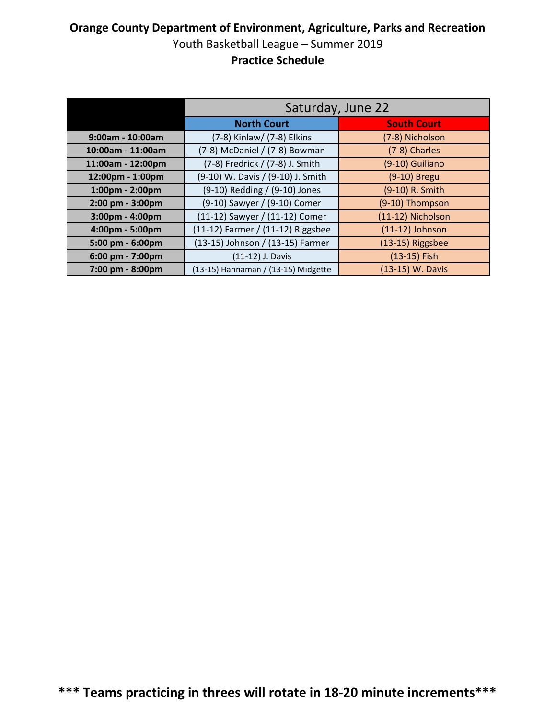|                   | Saturday, June 22                   |                    |
|-------------------|-------------------------------------|--------------------|
|                   | <b>North Court</b>                  | <b>South Court</b> |
| 9:00am - 10:00am  | (7-8) Kinlaw/ (7-8) Elkins          | (7-8) Nicholson    |
| 10:00am - 11:00am | (7-8) McDaniel / (7-8) Bowman       | (7-8) Charles      |
| 11:00am - 12:00pm | (7-8) Fredrick / (7-8) J. Smith     | (9-10) Guiliano    |
| 12:00pm - 1:00pm  | (9-10) W. Davis / (9-10) J. Smith   | (9-10) Bregu       |
| 1:00pm - 2:00pm   | (9-10) Redding / (9-10) Jones       | (9-10) R. Smith    |
| 2:00 pm - 3:00pm  | (9-10) Sawyer / (9-10) Comer        | (9-10) Thompson    |
| 3:00pm - 4:00pm   | (11-12) Sawyer / (11-12) Comer      | (11-12) Nicholson  |
| 4:00pm - 5:00pm   | (11-12) Farmer / (11-12) Riggsbee   | $(11-12)$ Johnson  |
| 5:00 pm - 6:00pm  | (13-15) Johnson / (13-15) Farmer    | (13-15) Riggsbee   |
| 6:00 pm - 7:00pm  | (11-12) J. Davis                    | (13-15) Fish       |
| 7:00 pm - 8:00pm  | (13-15) Hannaman / (13-15) Midgette | (13-15) W. Davis   |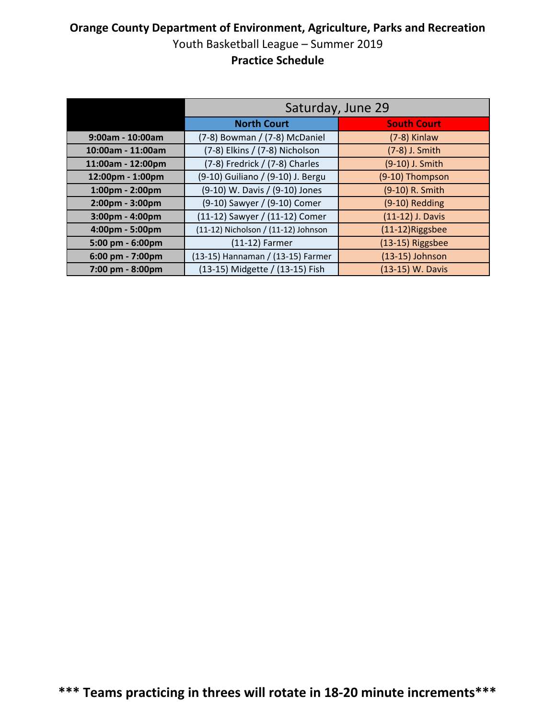|                   | Saturday, June 29                   |                    |
|-------------------|-------------------------------------|--------------------|
|                   | <b>North Court</b>                  | <b>South Court</b> |
| 9:00am - 10:00am  | (7-8) Bowman / (7-8) McDaniel       | $(7-8)$ Kinlaw     |
| 10:00am - 11:00am | (7-8) Elkins / (7-8) Nicholson      | (7-8) J. Smith     |
| 11:00am - 12:00pm | (7-8) Fredrick / (7-8) Charles      | (9-10) J. Smith    |
| 12:00pm - 1:00pm  | (9-10) Guiliano / (9-10) J. Bergu   | (9-10) Thompson    |
| 1:00pm - 2:00pm   | (9-10) W. Davis / (9-10) Jones      | (9-10) R. Smith    |
| 2:00pm - 3:00pm   | (9-10) Sawyer / (9-10) Comer        | (9-10) Redding     |
| 3:00pm - 4:00pm   | (11-12) Sawyer / (11-12) Comer      | (11-12) J. Davis   |
| 4:00pm - 5:00pm   | (11-12) Nicholson / (11-12) Johnson | (11-12)Riggsbee    |
| 5:00 pm - 6:00pm  | (11-12) Farmer                      | (13-15) Riggsbee   |
| 6:00 pm - 7:00pm  | (13-15) Hannaman / (13-15) Farmer   | $(13-15)$ Johnson  |
| 7:00 pm - 8:00pm  | (13-15) Midgette / (13-15) Fish     | (13-15) W. Davis   |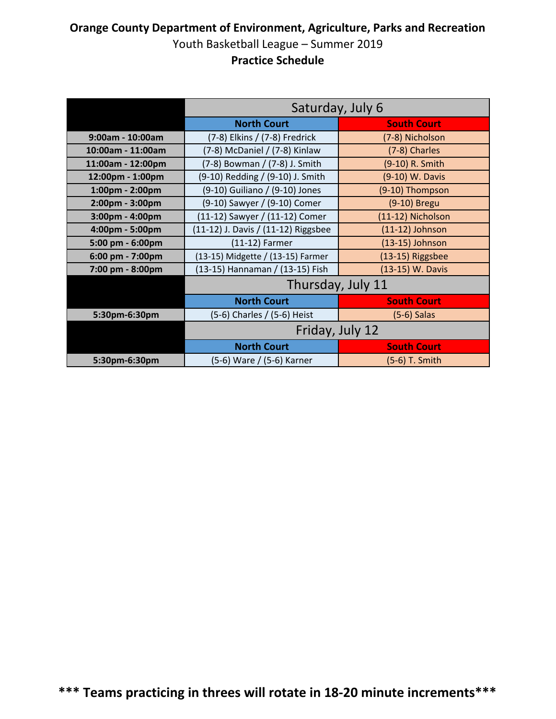|                   | Saturday, July 6                    |                    |  |
|-------------------|-------------------------------------|--------------------|--|
|                   | <b>North Court</b>                  | <b>South Court</b> |  |
| 9:00am - 10:00am  | (7-8) Elkins / (7-8) Fredrick       | (7-8) Nicholson    |  |
| 10:00am - 11:00am | (7-8) McDaniel / (7-8) Kinlaw       | (7-8) Charles      |  |
| 11:00am - 12:00pm | (7-8) Bowman / (7-8) J. Smith       | (9-10) R. Smith    |  |
| 12:00pm - 1:00pm  | (9-10) Redding / (9-10) J. Smith    | (9-10) W. Davis    |  |
| 1:00pm - 2:00pm   | (9-10) Guiliano / (9-10) Jones      | (9-10) Thompson    |  |
| 2:00pm - 3:00pm   | (9-10) Sawyer / (9-10) Comer        | (9-10) Bregu       |  |
| 3:00pm - 4:00pm   | (11-12) Sawyer / (11-12) Comer      | (11-12) Nicholson  |  |
| 4:00pm - 5:00pm   | (11-12) J. Davis / (11-12) Riggsbee | $(11-12)$ Johnson  |  |
| 5:00 pm - 6:00pm  | $(11-12)$ Farmer                    | (13-15) Johnson    |  |
| 6:00 pm - 7:00pm  | (13-15) Midgette / (13-15) Farmer   | (13-15) Riggsbee   |  |
| 7:00 pm - 8:00pm  | (13-15) Hannaman / (13-15) Fish     | (13-15) W. Davis   |  |
|                   |                                     | Thursday, July 11  |  |
|                   | <b>North Court</b>                  | <b>South Court</b> |  |
| 5:30pm-6:30pm     | (5-6) Charles / (5-6) Heist         | $(5-6)$ Salas      |  |
|                   | Friday, July 12                     |                    |  |
|                   | <b>North Court</b>                  | <b>South Court</b> |  |
| 5:30pm-6:30pm     | (5-6) Ware / (5-6) Karner           | (5-6) T. Smith     |  |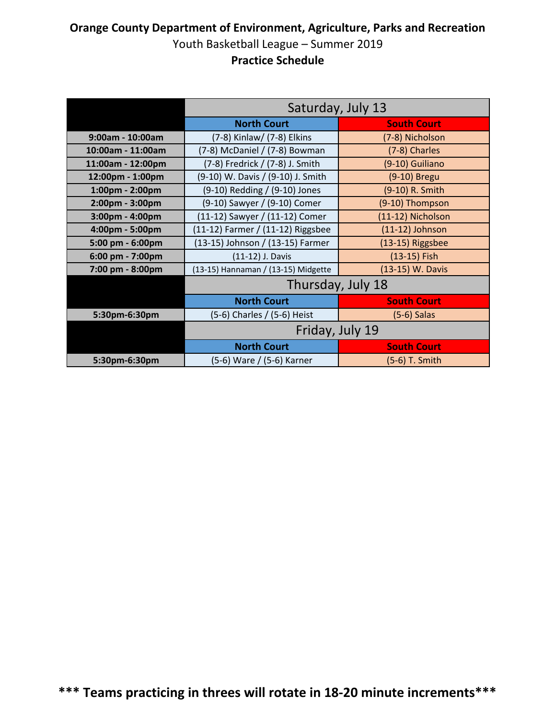|                   | Saturday, July 13                   |                    |
|-------------------|-------------------------------------|--------------------|
|                   | <b>North Court</b>                  | <b>South Court</b> |
| 9:00am - 10:00am  | (7-8) Kinlaw/ (7-8) Elkins          | (7-8) Nicholson    |
| 10:00am - 11:00am | (7-8) McDaniel / (7-8) Bowman       | (7-8) Charles      |
| 11:00am - 12:00pm | (7-8) Fredrick / (7-8) J. Smith     | (9-10) Guiliano    |
| 12:00pm - 1:00pm  | (9-10) W. Davis / (9-10) J. Smith   | (9-10) Bregu       |
| 1:00pm - 2:00pm   | (9-10) Redding / (9-10) Jones       | (9-10) R. Smith    |
| 2:00pm - 3:00pm   | (9-10) Sawyer / (9-10) Comer        | (9-10) Thompson    |
| 3:00pm - 4:00pm   | (11-12) Sawyer / (11-12) Comer      | (11-12) Nicholson  |
| 4:00pm - 5:00pm   | (11-12) Farmer / (11-12) Riggsbee   | $(11-12)$ Johnson  |
| 5:00 pm - 6:00pm  | (13-15) Johnson / (13-15) Farmer    | (13-15) Riggsbee   |
| 6:00 pm - 7:00pm  | (11-12) J. Davis                    | (13-15) Fish       |
| 7:00 pm - 8:00pm  | (13-15) Hannaman / (13-15) Midgette | (13-15) W. Davis   |
|                   | Thursday, July 18                   |                    |
|                   | <b>North Court</b>                  | <b>South Court</b> |
| 5:30pm-6:30pm     | (5-6) Charles / (5-6) Heist         | $(5-6)$ Salas      |
|                   | Friday, July 19                     |                    |
|                   | <b>North Court</b>                  | <b>South Court</b> |
| 5:30pm-6:30pm     | (5-6) Ware / (5-6) Karner           | (5-6) T. Smith     |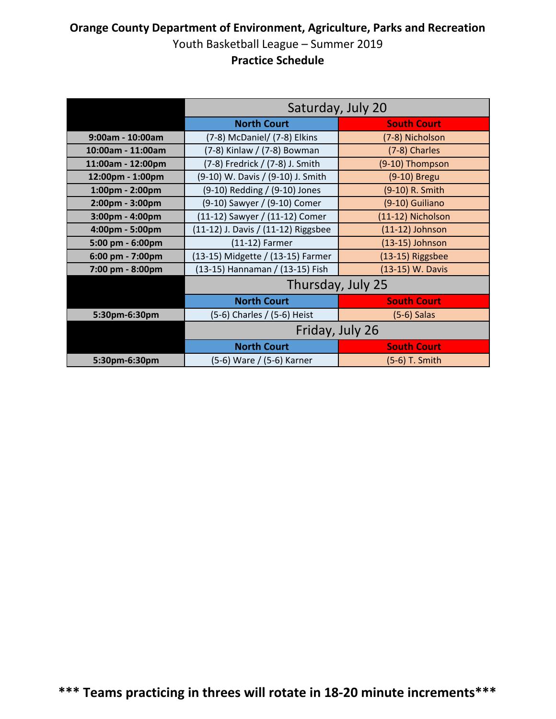|                   | Saturday, July 20                   |                    |  |
|-------------------|-------------------------------------|--------------------|--|
|                   | <b>North Court</b>                  | <b>South Court</b> |  |
| 9:00am - 10:00am  | (7-8) McDaniel/ (7-8) Elkins        | (7-8) Nicholson    |  |
| 10:00am - 11:00am | (7-8) Kinlaw / (7-8) Bowman         | (7-8) Charles      |  |
| 11:00am - 12:00pm | (7-8) Fredrick / (7-8) J. Smith     | (9-10) Thompson    |  |
| 12:00pm - 1:00pm  | (9-10) W. Davis / (9-10) J. Smith   | (9-10) Bregu       |  |
| 1:00pm - 2:00pm   | (9-10) Redding / (9-10) Jones       | (9-10) R. Smith    |  |
| 2:00pm - 3:00pm   | (9-10) Sawyer / (9-10) Comer        | (9-10) Guiliano    |  |
| 3:00pm - 4:00pm   | (11-12) Sawyer / (11-12) Comer      | (11-12) Nicholson  |  |
| 4:00pm - 5:00pm   | (11-12) J. Davis / (11-12) Riggsbee | $(11-12)$ Johnson  |  |
| 5:00 pm - 6:00pm  | $(11-12)$ Farmer                    | (13-15) Johnson    |  |
| 6:00 pm - 7:00pm  | (13-15) Midgette / (13-15) Farmer   | (13-15) Riggsbee   |  |
| 7:00 pm - 8:00pm  | (13-15) Hannaman / (13-15) Fish     | (13-15) W. Davis   |  |
|                   |                                     | Thursday, July 25  |  |
|                   | <b>North Court</b>                  | <b>South Court</b> |  |
| 5:30pm-6:30pm     | (5-6) Charles / (5-6) Heist         | $(5-6)$ Salas      |  |
|                   | Friday, July 26                     |                    |  |
|                   | <b>North Court</b>                  | <b>South Court</b> |  |
| 5:30pm-6:30pm     | (5-6) Ware / (5-6) Karner           | (5-6) T. Smith     |  |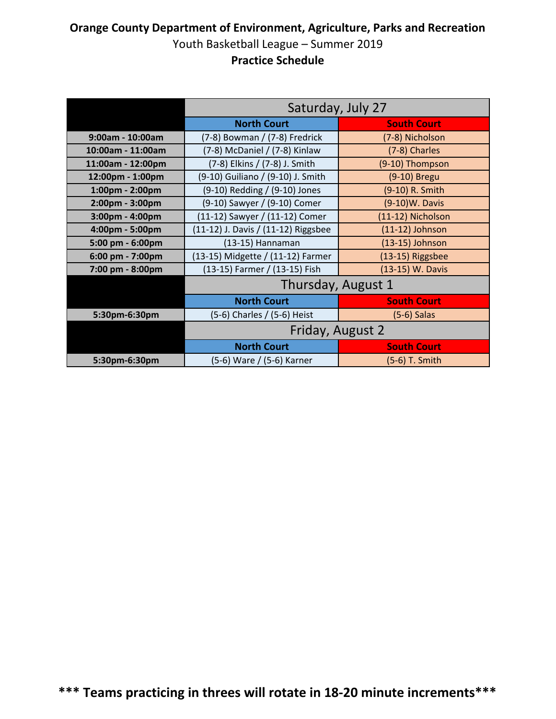|                   | Saturday, July 27                   |                    |  |
|-------------------|-------------------------------------|--------------------|--|
|                   | <b>North Court</b>                  | <b>South Court</b> |  |
| 9:00am - 10:00am  | (7-8) Bowman / (7-8) Fredrick       | (7-8) Nicholson    |  |
| 10:00am - 11:00am | (7-8) McDaniel / (7-8) Kinlaw       | (7-8) Charles      |  |
| 11:00am - 12:00pm | (7-8) Elkins / (7-8) J. Smith       | (9-10) Thompson    |  |
| 12:00pm - 1:00pm  | (9-10) Guiliano / (9-10) J. Smith   | (9-10) Bregu       |  |
| 1:00pm - 2:00pm   | (9-10) Redding / (9-10) Jones       | (9-10) R. Smith    |  |
| 2:00pm - 3:00pm   | (9-10) Sawyer / (9-10) Comer        | (9-10)W. Davis     |  |
| 3:00pm - 4:00pm   | (11-12) Sawyer / (11-12) Comer      | (11-12) Nicholson  |  |
| 4:00pm - 5:00pm   | (11-12) J. Davis / (11-12) Riggsbee | $(11-12)$ Johnson  |  |
| 5:00 pm - 6:00pm  | (13-15) Hannaman                    | (13-15) Johnson    |  |
| 6:00 pm - 7:00pm  | (13-15) Midgette / (11-12) Farmer   | (13-15) Riggsbee   |  |
| 7:00 pm - 8:00pm  | (13-15) Farmer / (13-15) Fish       | (13-15) W. Davis   |  |
|                   |                                     | Thursday, August 1 |  |
|                   | <b>North Court</b>                  | <b>South Court</b> |  |
| 5:30pm-6:30pm     | (5-6) Charles / (5-6) Heist         | $(5-6)$ Salas      |  |
|                   | Friday, August 2                    |                    |  |
|                   | <b>North Court</b>                  | <b>South Court</b> |  |
| 5:30pm-6:30pm     | (5-6) Ware / (5-6) Karner           | (5-6) T. Smith     |  |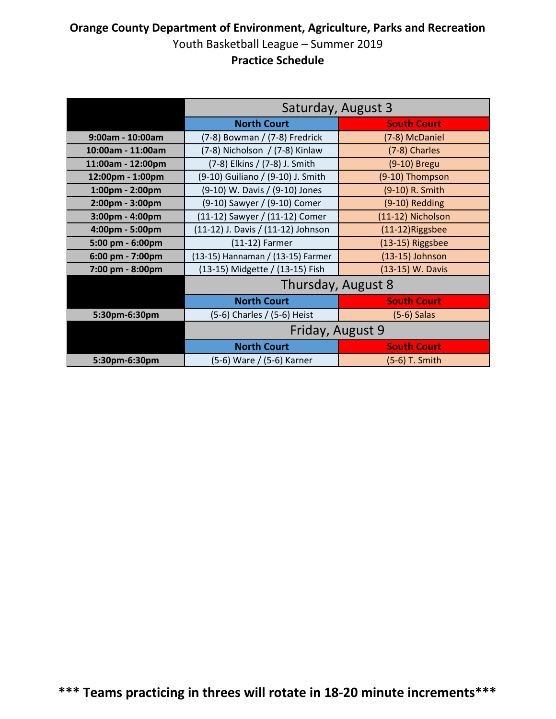|                   | Saturday, August 3                 |                    |  |
|-------------------|------------------------------------|--------------------|--|
|                   | <b>North Court</b>                 | <b>South Court</b> |  |
| 9:00am - 10:00am  | (7-8) Bowman / (7-8) Fredrick      | (7-8) McDaniel     |  |
| 10:00am - 11:00am | (7-8) Nicholson / (7-8) Kinlaw     | (7-8) Charles      |  |
| 11:00am - 12:00pm | (7-8) Elkins / (7-8) J. Smith      | (9-10) Bregu       |  |
| 12:00pm - 1:00pm  | (9-10) Guiliano / (9-10) J. Smith  | (9-10) Thompson    |  |
| 1:00pm - 2:00pm   | (9-10) W. Davis / (9-10) Jones     | (9-10) R. Smith    |  |
| 2:00pm - 3:00pm   | (9-10) Sawyer / (9-10) Comer       | (9-10) Redding     |  |
| 3:00pm - 4:00pm   | (11-12) Sawyer / (11-12) Comer     | (11-12) Nicholson  |  |
| 4:00pm - 5:00pm   | (11-12) J. Davis / (11-12) Johnson | (11-12)Riggsbee    |  |
| 5:00 pm - 6:00pm  | $(11-12)$ Farmer                   | (13-15) Riggsbee   |  |
| 6:00 pm - 7:00pm  | (13-15) Hannaman / (13-15) Farmer  | $(13-15)$ Johnson  |  |
| 7:00 pm - 8:00pm  | (13-15) Midgette / (13-15) Fish    | (13-15) W. Davis   |  |
|                   |                                    | Thursday, August 8 |  |
|                   | <b>North Court</b>                 | <b>South Court</b> |  |
| 5:30pm-6:30pm     | (5-6) Charles / (5-6) Heist        | $(5-6)$ Salas      |  |
|                   | Friday, August 9                   |                    |  |
|                   | <b>North Court</b>                 | <b>South Court</b> |  |
| 5:30pm-6:30pm     | (5-6) Ware / (5-6) Karner          | (5-6) T. Smith     |  |